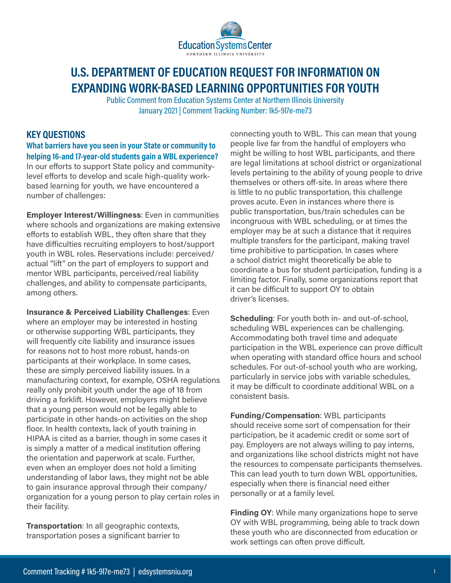

# **[U.S. DEPARTMENT OF EDUCATION REQUEST FOR INFORMATION ON](https://www.federalregister.gov/documents/2020/12/02/2020-26483/request-for-information-on-expanding-work-based-learning-opportunities-for-youth)  [EXPANDING WORK-BASED LEARNING OPPORTUNITIES FOR YOUTH](https://www.federalregister.gov/documents/2020/12/02/2020-26483/request-for-information-on-expanding-work-based-learning-opportunities-for-youth)**

[Public Comment from Education Systems Center at Northern Illinois University](https://beta.regulations.gov/comment/ED-2020-OCTAE-0176-0058) [January 2021 | Comment Tracking Number: 1k5-9l7e-me73](https://beta.regulations.gov/comment/ED-2020-OCTAE-0176-0058)

## **KEY QUESTIONS**

**What barriers have you seen in your State or community to helping 16-and 17-year-old students gain a WBL experience?** In our efforts to support State policy and communitylevel efforts to develop and scale high-quality workbased learning for youth, we have encountered a number of challenges:

**Employer Interest/Willingness**: Even in communities where schools and organizations are making extensive efforts to establish WBL, they often share that they have difficulties recruiting employers to host/support youth in WBL roles. Reservations include: perceived/ actual "lift" on the part of employers to support and mentor WBL participants, perceived/real liability challenges, and ability to compensate participants, among others.

**Insurance & Perceived Liability Challenges**: Even where an employer may be interested in hosting or otherwise supporting WBL participants, they will frequently cite liability and insurance issues for reasons not to host more robust, hands-on participants at their workplace. In some cases, these are simply perceived liability issues. In a manufacturing context, for example, OSHA regulations really only prohibit youth under the age of 18 from driving a forklift. However, employers might believe that a young person would not be legally able to participate in other hands-on activities on the shop floor. In health contexts, lack of youth training in HIPAA is cited as a barrier, though in some cases it is simply a matter of a medical institution offering the orientation and paperwork at scale. Further, even when an employer does not hold a limiting understanding of labor laws, they might not be able to gain insurance approval through their company/ organization for a young person to play certain roles in their facility.

**Transportation**: In all geographic contexts, transportation poses a significant barrier to connecting youth to WBL. This can mean that young people live far from the handful of employers who might be willing to host WBL participants, and there are legal limitations at school district or organizational levels pertaining to the ability of young people to drive themselves or others off-site. In areas where there is little to no public transportation, this challenge proves acute. Even in instances where there is public transportation, bus/train schedules can be incongruous with WBL scheduling, or at times the employer may be at such a distance that it requires multiple transfers for the participant, making travel time prohibitive to participation. In cases where a school district might theoretically be able to coordinate a bus for student participation, funding is a limiting factor. Finally, some organizations report that it can be difficult to support OY to obtain driver's licenses.

**Scheduling**: For youth both in- and out-of-school, scheduling WBL experiences can be challenging. Accommodating both travel time and adequate participation in the WBL experience can prove difficult when operating with standard office hours and school schedules. For out-of-school youth who are working, particularly in service jobs with variable schedules, it may be difficult to coordinate additional WBL on a consistent basis.

**Funding/Compensation**: WBL participants should receive some sort of compensation for their participation, be it academic credit or some sort of pay. Employers are not always willing to pay interns, and organizations like school districts might not have the resources to compensate participants themselves. This can lead youth to turn down WBL opportunities, especially when there is financial need either personally or at a family level.

**Finding OY**: While many organizations hope to serve OY with WBL programming, being able to track down these youth who are disconnected from education or work settings can often prove difficult.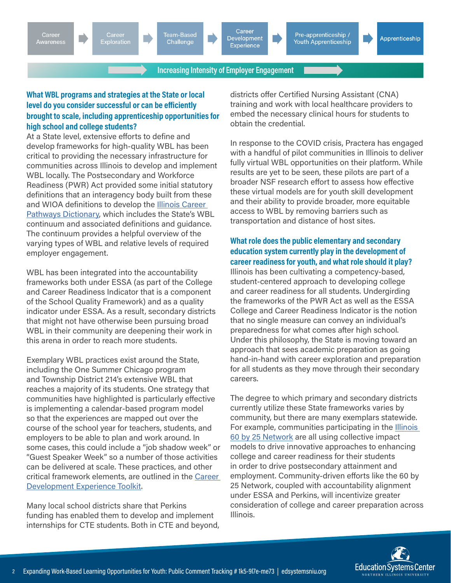Team-Based Challenge



Pre-apprenticeship / Youth Apprenticeship

Apprenticeship

**Increasing Intensity of Employer Engagement** 

## **What WBL programs and strategies at the State or local level do you consider successful or can be efficiently brought to scale, including apprenticeship opportunities for high school and college students?**

At a State level, extensive efforts to define and develop frameworks for high-quality WBL has been critical to providing the necessary infrastructure for communities across Illinois to develop and implement WBL locally. The Postsecondary and Workforce Readiness (PWR) Act provided some initial statutory definitions that an interagency body built from these and WIOA definitions to develop the [Illinois Career](https://icsps.illinoisstate.edu/images/pdfs/CTE/Perkins_V/6Perkins_V_Resource_IL-Career-Pathways-Dictionary.pdf)  [Pathways Dictionary](https://icsps.illinoisstate.edu/images/pdfs/CTE/Perkins_V/6Perkins_V_Resource_IL-Career-Pathways-Dictionary.pdf), which includes the State's WBL continuum and associated definitions and guidance. The continuum provides a helpful overview of the varying types of WBL and relative levels of required employer engagement.

WBL has been integrated into the accountability frameworks both under ESSA (as part of the College and Career Readiness Indicator that is a component of the School Quality Framework) and as a quality indicator under ESSA. As a result, secondary districts that might not have otherwise been pursuing broad WBL in their community are deepening their work in this arena in order to reach more students.

Exemplary WBL practices exist around the State, including the One Summer Chicago program and Township District 214's extensive WBL that reaches a majority of its students. One strategy that communities have highlighted is particularly effective is implementing a calendar-based program model so that the experiences are mapped out over the course of the school year for teachers, students, and employers to be able to plan and work around. In some cases, this could include a "job shadow week" or "Guest Speaker Week" so a number of those activities can be delivered at scale. These practices, and other critical framework elements, are outlined in the [Career](https://edsystemsniu.org/resources/career-development-experience-toolkit/)  [Development Experience Toolkit.](https://edsystemsniu.org/resources/career-development-experience-toolkit/)

Many local school districts share that Perkins funding has enabled them to develop and implement internships for CTE students. Both in CTE and beyond, districts offer Certified Nursing Assistant (CNA) training and work with local healthcare providers to embed the necessary clinical hours for students to obtain the credential.

In response to the COVID crisis, Practera has engaged with a handful of pilot communities in Illinois to deliver fully virtual WBL opportunities on their platform. While results are yet to be seen, these pilots are part of a broader NSF research effort to assess how effective these virtual models are for youth skill development and their ability to provide broader, more equitable access to WBL by removing barriers such as transportation and distance of host sites.

#### **What role does the public elementary and secondary education system currently play in the development of career readiness for youth, and what role should it play?**

Illinois has been cultivating a competency-based, student-centered approach to developing college and career readiness for all students. Undergirding the frameworks of the PWR Act as well as the ESSA College and Career Readiness Indicator is the notion that no single measure can convey an individual's preparedness for what comes after high school. Under this philosophy, the State is moving toward an approach that sees academic preparation as going hand-in-hand with career exploration and preparation for all students as they move through their secondary careers.

The degree to which primary and secondary districts currently utilize these State frameworks varies by community, but there are many exemplars statewide. For example, communities participating in the [Illinois](https://60by25.org)  [60 by 25 Network](https://60by25.org) are all using collective impact models to drive innovative approaches to enhancing college and career readiness for their students in order to drive postsecondary attainment and employment. Community-driven efforts like the 60 by 25 Network, coupled with accountability alignment under ESSA and Perkins, will incentivize greater consideration of college and career preparation across Illinois.

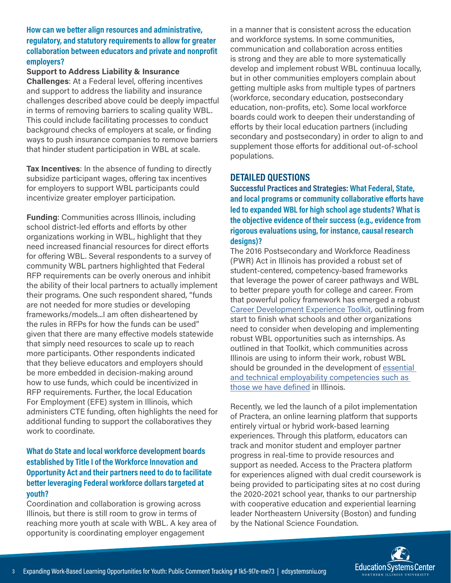#### **How can we better align resources and administrative, regulatory, and statutory requirements to allow for greater collaboration between educators and private and nonprofit employers?**

#### **Support to Address Liability & Insurance**

**Challenges**: At a Federal level, offering incentives and support to address the liability and insurance challenges described above could be deeply impactful in terms of removing barriers to scaling quality WBL. This could include facilitating processes to conduct background checks of employers at scale, or finding ways to push insurance companies to remove barriers that hinder student participation in WBL at scale.

**Tax Incentives**: In the absence of funding to directly subsidize participant wages, offering tax incentives for employers to support WBL participants could incentivize greater employer participation.

**Funding**: Communities across Illinois, including school district-led efforts and efforts by other organizations working in WBL, highlight that they need increased financial resources for direct efforts for offering WBL. Several respondents to a survey of community WBL partners highlighted that Federal RFP requirements can be overly onerous and inhibit the ability of their local partners to actually implement their programs. One such respondent shared, "funds are not needed for more studies or developing frameworks/models...I am often disheartened by the rules in RFPs for how the funds can be used" given that there are many effective models statewide that simply need resources to scale up to reach more participants. Other respondents indicated that they believe educators and employers should be more embedded in decision-making around how to use funds, which could be incentivized in RFP requirements. Further, the local Education For Employment (EFE) system in Illinois, which administers CTE funding, often highlights the need for additional funding to support the collaboratives they work to coordinate.

## **What do State and local workforce development boards established by Title I of the Workforce Innovation and Opportunity Act and their partners need to do to facilitate better leveraging Federal workforce dollars targeted at youth?**

Coordination and collaboration is growing across Illinois, but there is still room to grow in terms of reaching more youth at scale with WBL. A key area of opportunity is coordinating employer engagement

in a manner that is consistent across the education and workforce systems. In some communities, communication and collaboration across entities is strong and they are able to more systematically develop and implement robust WBL continuua locally, but in other communities employers complain about getting multiple asks from multiple types of partners (workforce, secondary education, postsecondary education, non-profits, etc). Some local workforce boards could work to deepen their understanding of efforts by their local education partners (including secondary and postsecondary) in order to align to and supplement those efforts for additional out-of-school populations.

## **DETAILED QUESTIONS**

**Successful Practices and Strategies: What Federal, State, and local programs or community collaborative efforts have led to expanded WBL for high school age students? What is the objective evidence of their success (e.g., evidence from rigorous evaluations using, for instance, causal research designs)?**

The 2016 Postsecondary and Workforce Readiness (PWR) Act in Illinois has provided a robust set of student-centered, competency-based frameworks that leverage the power of career pathways and WBL to better prepare youth for college and career. From that powerful policy framework has emerged a robust [Career Development Experience Toolkit,](https://edsystemsniu.org/resources/career-development-experience-toolkit/) outlining from start to finish what schools and other organizations need to consider when developing and implementing robust WBL opportunities such as internships. As outlined in that Toolkit, which communities across Illinois are using to inform their work, robust WBL should be grounded in the development of [essential](http://pwract.org/wp-content/uploads/2020/05/PWR-Report-April2020-Final.pdf)  [and technical employability competencies such as](http://pwract.org/wp-content/uploads/2020/05/PWR-Report-April2020-Final.pdf)  [those we have defined](http://pwract.org/wp-content/uploads/2020/05/PWR-Report-April2020-Final.pdf) in Illinois.

Recently, we led the launch of a pilot implementation of Practera, an online learning platform that supports entirely virtual or hybrid work-based learning experiences. Through this platform, educators can track and monitor student and employer partner progress in real-time to provide resources and support as needed. Access to the Practera platform for experiences aligned with dual credit coursework is being provided to participating sites at no cost during the 2020-2021 school year, thanks to our partnership with cooperative education and experiential learning leader Northeastern University (Boston) and funding by the National Science Foundation.

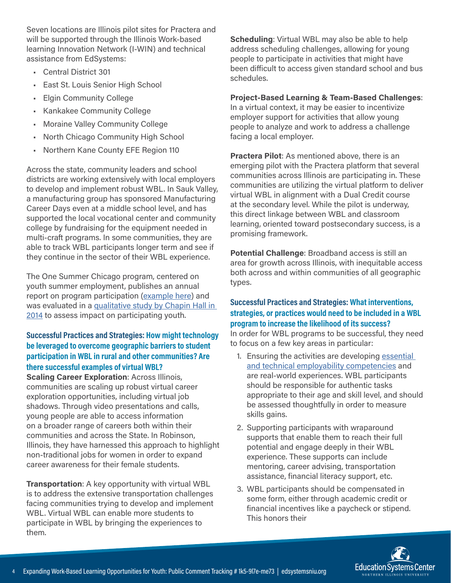Seven locations are Illinois pilot sites for Practera and will be supported through the Illinois Work-based learning Innovation Network (I-WIN) and technical assistance from EdSystems:

- Central District 301
- East St. Louis Senior High School
- Elgin Community College
- Kankakee Community College
- Moraine Valley Community College
- North Chicago Community High School
- Northern Kane County EFE Region 110

Across the state, community leaders and school districts are working extensively with local employers to develop and implement robust WBL. In Sauk Valley, a manufacturing group has sponsored Manufacturing Career Days even at a middle school level, and has supported the local vocational center and community college by fundraising for the equipment needed in multi-craft programs. In some communities, they are able to track WBL participants longer term and see if they continue in the sector of their WBL experience.

The One Summer Chicago program, centered on youth summer employment, publishes an annual report on program participation ([example here\)](https://drive.google.com/file/d/10dzrMRJ0lJMh-EPehPqfOU6JAuwm7r0i/view) and was evaluated in a qualitative study by Chapin Hall in [2014](https://www.chapinhall.org/research/one-summer-chicago/) to assess impact on participating youth.

## **Successful Practices and Strategies: How might technology be leveraged to overcome geographic barriers to student participation in WBL in rural and other communities? Are there successful examples of virtual WBL?**

**Scaling Career Exploration**: Across Illinois, communities are scaling up robust virtual career exploration opportunities, including virtual job shadows. Through video presentations and calls, young people are able to access information on a broader range of careers both within their communities and across the State. In Robinson, Illinois, they have harnessed this approach to highlight non-traditional jobs for women in order to expand career awareness for their female students.

**Transportation**: A key opportunity with virtual WBL is to address the extensive transportation challenges facing communities trying to develop and implement WBL. Virtual WBL can enable more students to participate in WBL by bringing the experiences to them.

**Scheduling**: Virtual WBL may also be able to help address scheduling challenges, allowing for young people to participate in activities that might have been difficult to access given standard school and bus schedules.

## **Project-Based Learning & Team-Based Challenges**:

In a virtual context, it may be easier to incentivize employer support for activities that allow young people to analyze and work to address a challenge facing a local employer.

**Practera Pilot**: As mentioned above, there is an emerging pilot with the Practera platform that several communities across Illinois are participating in. These communities are utilizing the virtual platform to deliver virtual WBL in alignment with a Dual Credit course at the secondary level. While the pilot is underway, this direct linkage between WBL and classroom learning, oriented toward postsecondary success, is a promising framework.

**Potential Challenge**: Broadband access is still an area for growth across Illinois, with inequitable access both across and within communities of all geographic types.

#### **Successful Practices and Strategies: What interventions, strategies, or practices would need to be included in a WBL program to increase the likelihood of its success?**

In order for WBL programs to be successful, they need to focus on a few key areas in particular:

- 1. Ensuring the activities are developing essential [and technical employability competencies](http://pwract.org/wp-content/uploads/2020/05/PWR-Report-April2020-Final.pdf) and are real-world experiences. WBL participants should be responsible for authentic tasks appropriate to their age and skill level, and should be assessed thoughtfully in order to measure skills gains.
- 2. Supporting participants with wraparound supports that enable them to reach their full potential and engage deeply in their WBL experience. These supports can include mentoring, career advising, transportation assistance, financial literacy support, etc.
- 3. WBL participants should be compensated in some form, either through academic credit or financial incentives like a paycheck or stipend. This honors their

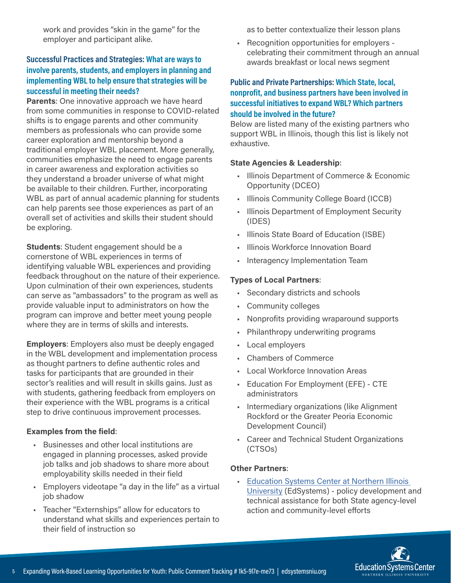work and provides "skin in the game" for the employer and participant alike.

## **Successful Practices and Strategies: What are ways to involve parents, students, and employers in planning and implementing WBL to help ensure that strategies will be successful in meeting their needs?**

**Parents**: One innovative approach we have heard from some communities in response to COVID-related shifts is to engage parents and other community members as professionals who can provide some career exploration and mentorship beyond a traditional employer WBL placement. More generally, communities emphasize the need to engage parents in career awareness and exploration activities so they understand a broader universe of what might be available to their children. Further, incorporating WBL as part of annual academic planning for students can help parents see those experiences as part of an overall set of activities and skills their student should be exploring.

**Students**: Student engagement should be a cornerstone of WBL experiences in terms of identifying valuable WBL experiences and providing feedback throughout on the nature of their experience. Upon culmination of their own experiences, students can serve as "ambassadors" to the program as well as provide valuable input to administrators on how the program can improve and better meet young people where they are in terms of skills and interests.

**Employers**: Employers also must be deeply engaged in the WBL development and implementation process as thought partners to define authentic roles and tasks for participants that are grounded in their sector's realities and will result in skills gains. Just as with students, gathering feedback from employers on their experience with the WBL programs is a critical step to drive continuous improvement processes.

#### **Examples from the field**:

- Businesses and other local institutions are engaged in planning processes, asked provide job talks and job shadows to share more about employability skills needed in their field
- Employers videotape "a day in the life" as a virtual job shadow
- Teacher "Externships" allow for educators to understand what skills and experiences pertain to their field of instruction so

as to better contextualize their lesson plans

• Recognition opportunities for employers celebrating their commitment through an annual awards breakfast or local news segment

#### **Public and Private Partnerships: Which State, local, nonprofit, and business partners have been involved in successful initiatives to expand WBL? Which partners should be involved in the future?**

Below are listed many of the existing partners who support WBL in Illinois, though this list is likely not exhaustive.

#### **State Agencies & Leadership**:

- Illinois Department of Commerce & Economic Opportunity (DCEO)
- Illinois Community College Board (ICCB)
- Illinois Department of Employment Security (IDES)
- Illinois State Board of Education (ISBE)
- Illinois Workforce Innovation Board
- Interagency Implementation Team

#### **Types of Local Partners**:

- Secondary districts and schools
- Community colleges
- Nonprofits providing wraparound supports
- Philanthropy underwriting programs
- Local employers
- Chambers of Commerce
- Local Workforce Innovation Areas
- Education For Employment (EFE) CTE administrators
- Intermediary organizations (like Alignment Rockford or the Greater Peoria Economic Development Council)
- Career and Technical Student Organizations (CTSOs)

#### **Other Partners**:

• Education Systems Center at Northern Illinois [University](https://edsystemsniu.org/) (EdSystems) - policy development and technical assistance for both State agency-level action and community-level efforts

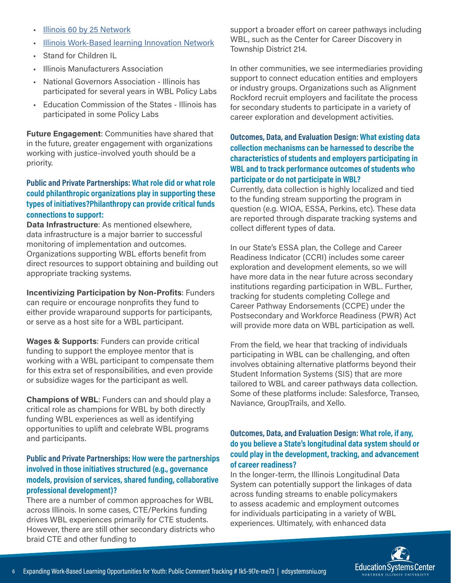- [Illinois 60 by 25 Network](https://60by25.org)
- [Illinois Work-Based learning Innovation Network](https://edsystemsniu.org/illinois-work-based-learning-innovation-network/)
- **Stand for Children IL**
- Illinois Manufacturers Association
- National Governors Association Illinois has participated for several years in WBL Policy Labs
- Education Commission of the States Illinois has participated in some Policy Labs

**Future Engagement**: Communities have shared that in the future, greater engagement with organizations working with justice-involved youth should be a priority.

#### **Public and Private Partnerships: What role did or what role could philanthropic organizations play in supporting these types of initiatives?Philanthropy can provide critical funds connections to support:**

**Data Infrastructure**: As mentioned elsewhere, data infrastructure is a major barrier to successful monitoring of implementation and outcomes. Organizations supporting WBL efforts benefit from direct resources to support obtaining and building out appropriate tracking systems.

**Incentivizing Participation by Non-Profits**: Funders can require or encourage nonprofits they fund to either provide wraparound supports for participants, or serve as a host site for a WBL participant.

**Wages & Supports**: Funders can provide critical funding to support the employee mentor that is working with a WBL participant to compensate them for this extra set of responsibilities, and even provide or subsidize wages for the participant as well.

**Champions of WBL**: Funders can and should play a critical role as champions for WBL by both directly funding WBL experiences as well as identifying opportunities to uplift and celebrate WBL programs and participants.

## **Public and Private Partnerships: How were the partnerships involved in those initiatives structured (e.g., governance models, provision of services, shared funding, collaborative professional development)?**

There are a number of common approaches for WBL across Illinois. In some cases, CTE/Perkins funding drives WBL experiences primarily for CTE students. However, there are still other secondary districts who braid CTE and other funding to

support a broader effort on career pathways including WBL, such as the Center for Career Discovery in Township District 214.

In other communities, we see intermediaries providing support to connect education entities and employers or industry groups. Organizations such as Alignment Rockford recruit employers and facilitate the process for secondary students to participate in a variety of career exploration and development activities.

### **Outcomes, Data, and Evaluation Design: What existing data collection mechanisms can be harnessed to describe the characteristics of students and employers participating in WBL and to track performance outcomes of students who participate or do not participate in WBL?**

Currently, data collection is highly localized and tied to the funding stream supporting the program in question (e.g. WIOA, ESSA, Perkins, etc). These data are reported through disparate tracking systems and collect different types of data.

In our State's ESSA plan, the College and Career Readiness Indicator (CCRI) includes some career exploration and development elements, so we will have more data in the near future across secondary institutions regarding participation in WBL. Further, tracking for students completing College and Career Pathway Endorsements (CCPE) under the Postsecondary and Workforce Readiness (PWR) Act will provide more data on WBL participation as well.

From the field, we hear that tracking of individuals participating in WBL can be challenging, and often involves obtaining alternative platforms beyond their Student Information Systems (SIS) that are more tailored to WBL and career pathways data collection. Some of these platforms include: Salesforce, Transeo, Naviance, GroupTrails, and Xello.

#### **Outcomes, Data, and Evaluation Design: What role, if any, do you believe a State's longitudinal data system should or could play in the development, tracking, and advancement of career readiness?**

In the longer-term, the Illinois Longitudinal Data System can potentially support the linkages of data across funding streams to enable policymakers to assess academic and employment outcomes for individuals participating in a variety of WBL experiences. Ultimately, with enhanced data

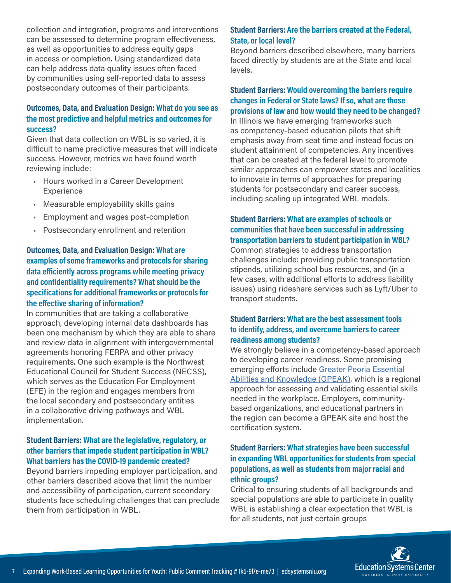collection and integration, programs and interventions can be assessed to determine program effectiveness, as well as opportunities to address equity gaps in access or completion. Using standardized data can help address data quality issues often faced by communities using self-reported data to assess postsecondary outcomes of their participants.

#### **Outcomes, Data, and Evaluation Design: What do you see as the most predictive and helpful metrics and outcomes for success?**

Given that data collection on WBL is so varied, it is difficult to name predictive measures that will indicate success. However, metrics we have found worth reviewing include:

- Hours worked in a Career Development Experience
- Measurable employability skills gains
- Employment and wages post-completion
- Postsecondary enrollment and retention

## **Outcomes, Data, and Evaluation Design: What are examples of some frameworks and protocols for sharing data efficiently across programs while meeting privacy and confidentiality requirements? What should be the specifications for additional frameworks or protocols for the effective sharing of information?**

In communities that are taking a collaborative approach, developing internal data dashboards has been one mechanism by which they are able to share and review data in alignment with intergovernmental agreements honoring FERPA and other privacy requirements. One such example is the Northwest Educational Council for Student Success (NECSS), which serves as the Education For Employment (EFE) in the region and engages members from the local secondary and postsecondary entities in a collaborative driving pathways and WBL implementation.

#### **Student Barriers: What are the legislative, regulatory, or other barriers that impede student participation in WBL? What barriers has the COVID-19 pandemic created?**

Beyond barriers impeding employer participation, and other barriers described above that limit the number and accessibility of participation, current secondary students face scheduling challenges that can preclude them from participation in WBL.

#### **Student Barriers: Are the barriers created at the Federal, State, or local level?**

Beyond barriers described elsewhere, many barriers faced directly by students are at the State and local levels.

## **Student Barriers: Would overcoming the barriers require changes in Federal or State laws? If so, what are those provisions of law and how would they need to be changed?**

In Illinois we have emerging frameworks such as competency-based education pilots that shift emphasis away from seat time and instead focus on student attainment of competencies. Any incentives that can be created at the federal level to promote similar approaches can empower states and localities to innovate in terms of approaches for preparing students for postsecondary and career success, including scaling up integrated WBL models.

## **Student Barriers: What are examples of schools or communities that have been successful in addressing transportation barriers to student participation in WBL?**

Common strategies to address transportation challenges include: providing public transportation stipends, utilizing school bus resources, and (in a few cases, with additional efforts to address liability issues) using rideshare services such as Lyft/Uber to transport students.

#### **Student Barriers: What are the best assessment tools to identify, address, and overcome barriers to career readiness among students?**

We strongly believe in a competency-based approach to developing career readiness. Some promising emerging efforts include [Greater Peoria Essential](https://icc.edu/gpeak/)  [Abilities and Knowledge \(GPEAK\),](https://icc.edu/gpeak/) which is a regional approach for assessing and validating essential skills needed in the workplace. Employers, communitybased organizations, and educational partners in the region can become a GPEAK site and host the certification system.

## **Student Barriers: What strategies have been successful in expanding WBL opportunities for students from special populations, as well as students from major racial and ethnic groups?**

Critical to ensuring students of all backgrounds and special populations are able to participate in quality WBL is establishing a clear expectation that WBL is for all students, not just certain groups